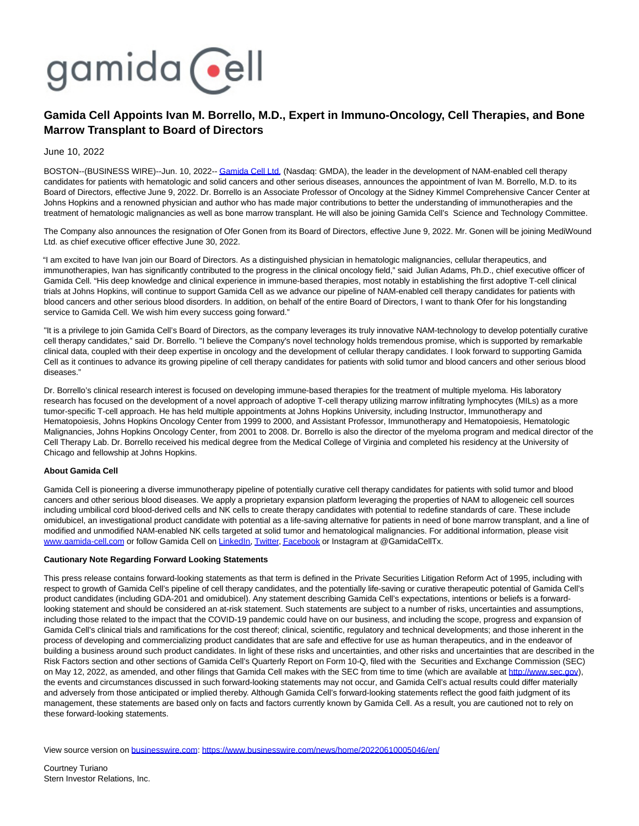

## **Gamida Cell Appoints Ivan M. Borrello, M.D., Expert in Immuno-Oncology, Cell Therapies, and Bone Marrow Transplant to Board of Directors**

June 10, 2022

BOSTON--(BUSINESS WIRE)--Jun. 10, 2022-[- Gamida Cell Ltd. \(](https://cts.businesswire.com/ct/CT?id=smartlink&url=http%3A%2F%2Fwww.gamida-cell.com%2F&esheet=52745275&newsitemid=20220610005046&lan=en-US&anchor=Gamida+Cell+Ltd.&index=1&md5=7401b268d975e04b2955b68b2e907216)Nasdaq: GMDA), the leader in the development of NAM-enabled cell therapy candidates for patients with hematologic and solid cancers and other serious diseases, announces the appointment of Ivan M. Borrello, M.D. to its Board of Directors, effective June 9, 2022. Dr. Borrello is an Associate Professor of Oncology at the Sidney Kimmel Comprehensive Cancer Center at Johns Hopkins and a renowned physician and author who has made major contributions to better the understanding of immunotherapies and the treatment of hematologic malignancies as well as bone marrow transplant. He will also be joining Gamida Cell's Science and Technology Committee.

The Company also announces the resignation of Ofer Gonen from its Board of Directors, effective June 9, 2022. Mr. Gonen will be joining MediWound Ltd. as chief executive officer effective June 30, 2022.

"I am excited to have Ivan join our Board of Directors. As a distinguished physician in hematologic malignancies, cellular therapeutics, and immunotherapies, Ivan has significantly contributed to the progress in the clinical oncology field," said Julian Adams, Ph.D., chief executive officer of Gamida Cell. "His deep knowledge and clinical experience in immune-based therapies, most notably in establishing the first adoptive T-cell clinical trials at Johns Hopkins, will continue to support Gamida Cell as we advance our pipeline of NAM-enabled cell therapy candidates for patients with blood cancers and other serious blood disorders. In addition, on behalf of the entire Board of Directors, I want to thank Ofer for his longstanding service to Gamida Cell. We wish him every success going forward."

"It is a privilege to join Gamida Cell's Board of Directors, as the company leverages its truly innovative NAM-technology to develop potentially curative cell therapy candidates," said Dr. Borrello. "I believe the Company's novel technology holds tremendous promise, which is supported by remarkable clinical data, coupled with their deep expertise in oncology and the development of cellular therapy candidates. I look forward to supporting Gamida Cell as it continues to advance its growing pipeline of cell therapy candidates for patients with solid tumor and blood cancers and other serious blood diseases."

Dr. Borrello's clinical research interest is focused on developing immune-based therapies for the treatment of multiple myeloma. His laboratory research has focused on the development of a novel approach of adoptive T-cell therapy utilizing marrow infiltrating lymphocytes (MILs) as a more tumor-specific T-cell approach. He has held multiple appointments at Johns Hopkins University, including Instructor, Immunotherapy and Hematopoiesis, Johns Hopkins Oncology Center from 1999 to 2000, and Assistant Professor, Immunotherapy and Hematopoiesis, Hematologic Malignancies, Johns Hopkins Oncology Center, from 2001 to 2008. Dr. Borrello is also the director of the myeloma program and medical director of the Cell Therapy Lab. Dr. Borrello received his medical degree from the Medical College of Virginia and completed his residency at the University of Chicago and fellowship at Johns Hopkins.

## **About Gamida Cell**

Gamida Cell is pioneering a diverse immunotherapy pipeline of potentially curative cell therapy candidates for patients with solid tumor and blood cancers and other serious blood diseases. We apply a proprietary expansion platform leveraging the properties of NAM to allogeneic cell sources including umbilical cord blood-derived cells and NK cells to create therapy candidates with potential to redefine standards of care. These include omidubicel, an investigational product candidate with potential as a life-saving alternative for patients in need of bone marrow transplant, and a line of modified and unmodified NAM-enabled NK cells targeted at solid tumor and hematological malignancies. For additional information, please visit [www.gamida-cell.com o](https://cts.businesswire.com/ct/CT?id=smartlink&url=http%3A%2F%2Fwww.gamida-cell.com%2F&esheet=52745275&newsitemid=20220610005046&lan=en-US&anchor=www.gamida-cell.com&index=2&md5=33abc7e0e542627a15e9a4b14301e2db)r follow Gamida Cell on [LinkedIn,](https://cts.businesswire.com/ct/CT?id=smartlink&url=https%3A%2F%2Fwww.linkedin.com%2Fcompany%2Fgamida-cell-ltd-%2F&esheet=52745275&newsitemid=20220610005046&lan=en-US&anchor=LinkedIn&index=3&md5=c1519a334a95d60a3f9e397302d69f75) [Twitter,](https://cts.businesswire.com/ct/CT?id=smartlink&url=https%3A%2F%2Ftwitter.com%2FGamidaCellTx&esheet=52745275&newsitemid=20220610005046&lan=en-US&anchor=Twitter&index=4&md5=892f7c6c131d69aeb87fa03a0c01fe5c) [Facebook o](https://cts.businesswire.com/ct/CT?id=smartlink&url=https%3A%2F%2Fwww.facebook.com%2FGamidaCellLtd&esheet=52745275&newsitemid=20220610005046&lan=en-US&anchor=Facebook&index=5&md5=325fb057f6795e97a9eb4c1b5e9539ca)r Instagram at @GamidaCellTx.

## **Cautionary Note Regarding Forward Looking Statements**

This press release contains forward-looking statements as that term is defined in the Private Securities Litigation Reform Act of 1995, including with respect to growth of Gamida Cell's pipeline of cell therapy candidates, and the potentially life-saving or curative therapeutic potential of Gamida Cell's product candidates (including GDA-201 and omidubicel). Any statement describing Gamida Cell's expectations, intentions or beliefs is a forwardlooking statement and should be considered an at-risk statement. Such statements are subject to a number of risks, uncertainties and assumptions, including those related to the impact that the COVID-19 pandemic could have on our business, and including the scope, progress and expansion of Gamida Cell's clinical trials and ramifications for the cost thereof; clinical, scientific, regulatory and technical developments; and those inherent in the process of developing and commercializing product candidates that are safe and effective for use as human therapeutics, and in the endeavor of building a business around such product candidates. In light of these risks and uncertainties, and other risks and uncertainties that are described in the Risk Factors section and other sections of Gamida Cell's Quarterly Report on Form 10-Q, filed with the Securities and Exchange Commission (SEC) on May 12, 2022, as amended, and other filings that Gamida Cell makes with the SEC from time to time (which are available at [http://www.sec.gov\),](https://cts.businesswire.com/ct/CT?id=smartlink&url=http%3A%2F%2Fwww.sec.gov&esheet=52745275&newsitemid=20220610005046&lan=en-US&anchor=http%3A%2F%2Fwww.sec.gov&index=6&md5=6b4480a0d6df2adc8945718fb0f0becb) the events and circumstances discussed in such forward-looking statements may not occur, and Gamida Cell's actual results could differ materially and adversely from those anticipated or implied thereby. Although Gamida Cell's forward-looking statements reflect the good faith judgment of its management, these statements are based only on facts and factors currently known by Gamida Cell. As a result, you are cautioned not to rely on these forward-looking statements.

View source version on [businesswire.com:](http://businesswire.com/)<https://www.businesswire.com/news/home/20220610005046/en/>

Courtney Turiano Stern Investor Relations, Inc.